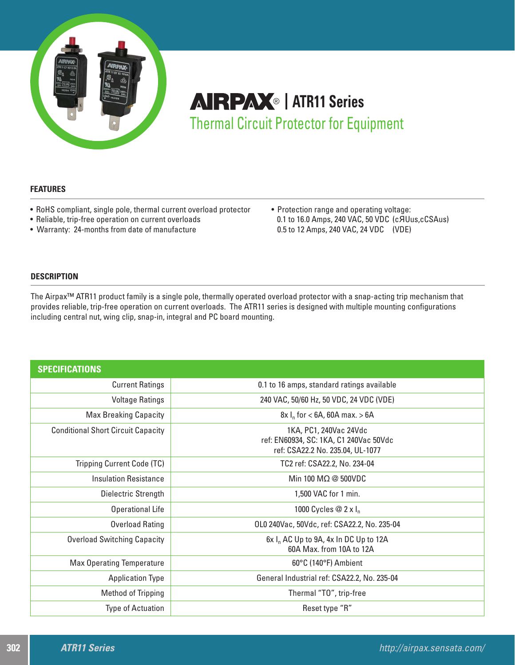

# **AIRPAX**® | ATR11 Series Thermal Circuit Protector for Equipment

# **FEATURES**

- RoHS compliant, single pole, thermal current overload protector
- Reliable, trip-free operation on current overloads
- Warranty: 24-months from date of manufacture

• Protection range and operating voltage: 0.1 to 16.0 Amps, 240 VAC, 50 VDC (cЯUus,cCSAus) 0.5 to 12 Amps, 240 VAC, 24 VDC (VDE)

# **DESCRIPTION**

The Airpax™ ATR11 product family is a single pole, thermally operated overload protector with a snap-acting trip mechanism that provides reliable, trip-free operation on current overloads. The ATR11 series is designed with multiple mounting configurations including central nut, wing clip, snap-in, integral and PC board mounting.

| <b>SPECIFICATIONS</b>                     |                                                                                                      |  |  |  |
|-------------------------------------------|------------------------------------------------------------------------------------------------------|--|--|--|
| <b>Current Ratings</b>                    | 0.1 to 16 amps, standard ratings available                                                           |  |  |  |
| <b>Voltage Ratings</b>                    | 240 VAC, 50/60 Hz, 50 VDC, 24 VDC (VDE)                                                              |  |  |  |
| <b>Max Breaking Capacity</b>              | $8x \, I_n$ for < 6A, 60A max. > 6A                                                                  |  |  |  |
| <b>Conditional Short Circuit Capacity</b> | 1KA, PC1, 240Vac 24Vdc<br>ref: EN60934, SC: 1KA, C1 240Vac 50Vdc<br>ref: CSA22.2 No. 235.04, UL-1077 |  |  |  |
| <b>Tripping Current Code (TC)</b>         | TC2 ref: CSA22.2, No. 234-04                                                                         |  |  |  |
| <b>Insulation Resistance</b>              | Min 100 M $\Omega$ @ 500VDC                                                                          |  |  |  |
| Dielectric Strength                       | 1,500 VAC for 1 min.                                                                                 |  |  |  |
| <b>Operational Life</b>                   | 1000 Cycles $@$ 2 x I <sub>n</sub>                                                                   |  |  |  |
| <b>Overload Rating</b>                    | OLO 240Vac, 50Vdc, ref: CSA22.2, No. 235-04                                                          |  |  |  |
| <b>Overload Switching Capacity</b>        | $6x I_n$ AC Up to 9A, 4x In DC Up to 12A<br>60A Max, from 10A to 12A                                 |  |  |  |
| <b>Max Operating Temperature</b>          | 60°C (140°F) Ambient                                                                                 |  |  |  |
| <b>Application Type</b>                   | General Industrial ref: CSA22.2, No. 235-04                                                          |  |  |  |
| Method of Tripping                        | Thermal "TO", trip-free                                                                              |  |  |  |
| <b>Type of Actuation</b>                  | Reset type "R"                                                                                       |  |  |  |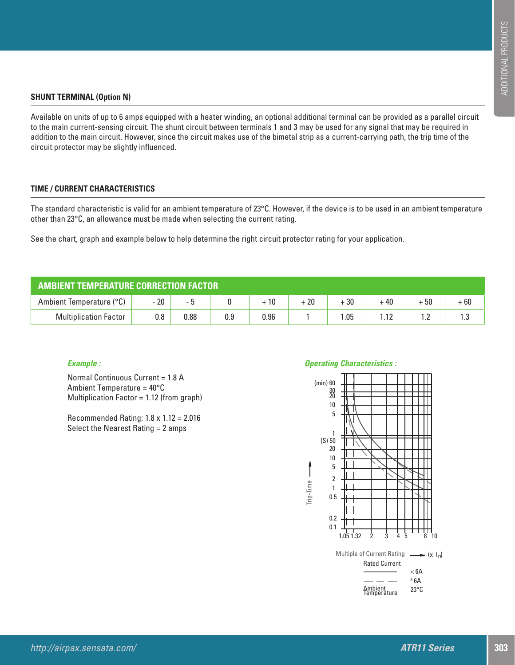# **SHUNT TERMINAL (Option N)**

Available on units of up to 6 amps equipped with a heater winding, an optional additional terminal can be provided as a parallel circuit to the main current-sensing circuit. The shunt circuit between terminals 1 and 3 may be used for any signal that may be required in addition to the main circuit. However, since the circuit makes use of the bimetal strip as a current-carrying path, the trip time of the circuit protector may be slightly influenced.

# **TIME / CURRENT CHARACTERISTICS**

The standard characteristic is valid for an ambient temperature of 23°C. However, if the device is to be used in an ambient temperature other than 23°C, an allowance must be made when selecting the current rating.

See the chart, graph and example below to help determine the right circuit protector rating for your application.

| <b>AMBIENT TEMPERATURE CORRECTION FACTOR</b> |         |      |     |      |       |       |       |      |       |  |
|----------------------------------------------|---------|------|-----|------|-------|-------|-------|------|-------|--|
| Ambient Temperature (°C)                     | $-20$   |      |     |      | $+20$ | $+30$ | $+40$ | + 50 | $+60$ |  |
| <b>Multiplication Factor</b>                 | $0.8\,$ | 0.88 | 0.9 | 0.96 |       | .05   |       | . .  | ن. ا  |  |

## *Example :*

Normal Continuous Current = 1.8 A Ambient Temperature = 40°C Multiplication Factor = 1.12 (from graph)

Recommended Rating: 1.8 x 1.12 = 2.016 Select the Nearest Rating = 2 amps

### *Operating Characteristics :*

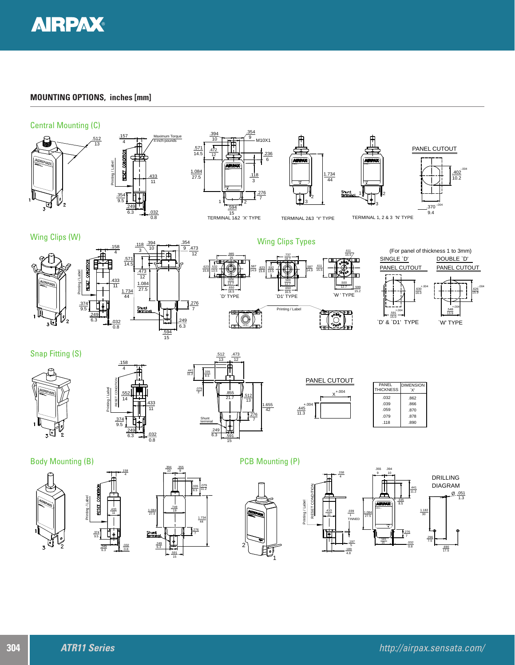

# **MOUNTING OPTIONS, inches [mm]**